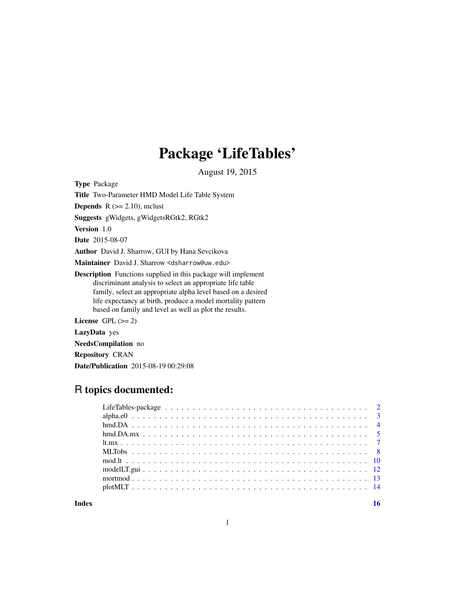# Package 'LifeTables'

August 19, 2015

<span id="page-0-0"></span>Type Package

Title Two-Parameter HMD Model Life Table System

**Depends** R  $(>= 2.10)$ , mclust

Suggests gWidgets, gWidgetsRGtk2, RGtk2

Version 1.0

Date 2015-08-07

Author David J. Sharrow, GUI by Hana Sevcikova

Maintainer David J. Sharrow <dsharrow@uw.edu>

Description Functions supplied in this package will implement discriminant analysis to select an appropriate life table family, select an appropriate alpha level based on a desired life expectancy at birth, produce a model mortality pattern based on family and level as well as plot the results.

License GPL  $(>= 2)$ 

LazyData yes

NeedsCompilation no

Repository CRAN

Date/Publication 2015-08-19 00:29:08

## R topics documented:

**Index** the contract of the contract of the contract of the contract of the contract of the contract of the contract of the contract of the contract of the contract of the contract of the contract of the contract of the co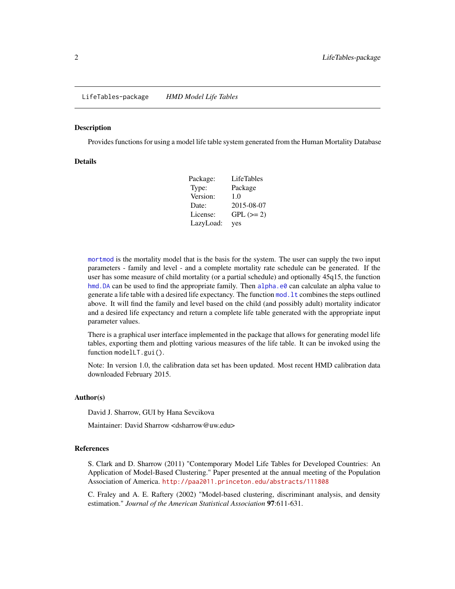#### <span id="page-1-0"></span>Description

Provides functions for using a model life table system generated from the Human Mortality Database

## **Details**

| Package:  | <b>LifeTables</b> |
|-----------|-------------------|
| Type:     | Package           |
| Version:  | 1.0               |
| Date:     | 2015-08-07        |
| License:  | $GPL (=2)$        |
| LazyLoad: | yes               |

[mortmod](#page-12-1) is the mortality model that is the basis for the system. The user can supply the two input parameters - family and level - and a complete mortality rate schedule can be generated. If the user has some measure of child mortality (or a partial schedule) and optionally 45q15, the function hmd. DA can be used to find the appropriate family. Then alpha. e0 can calculate an alpha value to generate a life table with a desired life expectancy. The function [mod.lt](#page-9-1) combines the steps outlined above. It will find the family and level based on the child (and possibly adult) mortality indicator and a desired life expectancy and return a complete life table generated with the appropriate input parameter values.

There is a graphical user interface implemented in the package that allows for generating model life tables, exporting them and plotting various measures of the life table. It can be invoked using the function modelLT.gui().

Note: In version 1.0, the calibration data set has been updated. Most recent HMD calibration data downloaded February 2015.

#### Author(s)

David J. Sharrow, GUI by Hana Sevcikova

Maintainer: David Sharrow <dsharrow@uw.edu>

#### References

S. Clark and D. Sharrow (2011) "Contemporary Model Life Tables for Developed Countries: An Application of Model-Based Clustering." Paper presented at the annual meeting of the Population Association of America. <http://paa2011.princeton.edu/abstracts/111808>

C. Fraley and A. E. Raftery (2002) "Model-based clustering, discriminant analysis, and density estimation." *Journal of the American Statistical Association* 97:611-631.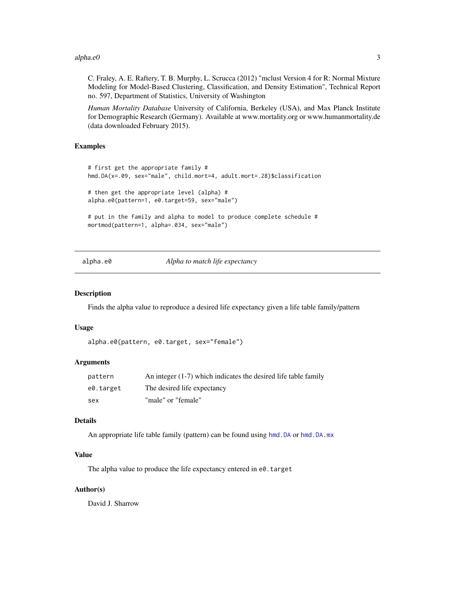#### <span id="page-2-0"></span> $alpha.e0$  3

C. Fraley, A. E. Raftery, T. B. Murphy, L. Scrucca (2012) "mclust Version 4 for R: Normal Mixture Modeling for Model-Based Clustering, Classification, and Density Estimation", Technical Report no. 597, Department of Statistics, University of Washington

*Human Mortality Database* University of California, Berkeley (USA), and Max Planck Institute for Demographic Research (Germany). Available at www.mortality.org or www.humanmortality.de (data downloaded February 2015).

## Examples

```
# first get the appropriate family #
hmd.DA(x=.09, sex="male", child.mort=4, adult.mort=.28)$classification
# then get the appropriate level (alpha) #
alpha.e0(pattern=1, e0.target=59, sex="male")
# put in the family and alpha to model to produce complete schedule #
mortmod(pattern=1, alpha=.034, sex="male")
```
<span id="page-2-1"></span>

alpha.e0 *Alpha to match life expectancy*

#### Description

Finds the alpha value to reproduce a desired life expectancy given a life table family/pattern

#### Usage

```
alpha.e0(pattern, e0.target, sex="female")
```
## **Arguments**

| pattern   | An integer $(1-7)$ which indicates the desired life table family |
|-----------|------------------------------------------------------------------|
| e0.target | The desired life expectancy                                      |
| sex       | "male" or "female"                                               |

#### Details

An appropriate life table family (pattern) can be found using hmd. DA or hmd. DA. mx

#### Value

The alpha value to produce the life expectancy entered in e0.target

#### Author(s)

David J. Sharrow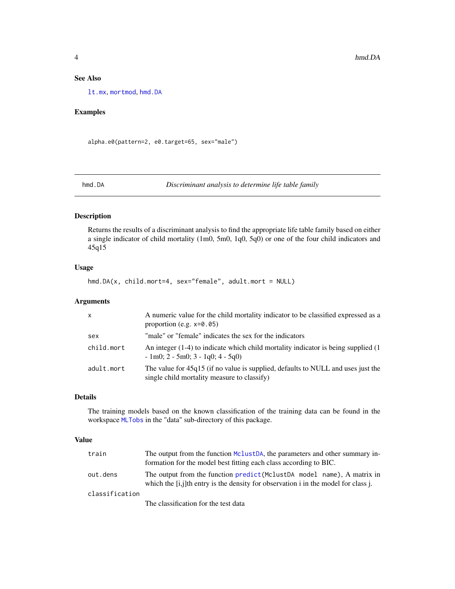## See Also

[lt.mx](#page-6-1), [mortmod](#page-12-1), [hmd.DA](#page-3-1)

## Examples

alpha.e0(pattern=2, e0.target=65, sex="male")

<span id="page-3-1"></span>hmd.DA *Discriminant analysis to determine life table family*

## Description

Returns the results of a discriminant analysis to find the appropriate life table family based on either a single indicator of child mortality (1m0, 5m0, 1q0, 5q0) or one of the four child indicators and 45q15

## Usage

hmd.DA(x, child.mort=4, sex="female", adult.mort = NULL)

## Arguments

| $\times$   | A numeric value for the child mortality indicator to be classified expressed as a<br>proportion (e.g. $x=0.05$ )                |
|------------|---------------------------------------------------------------------------------------------------------------------------------|
| sex        | "male" or "female" indicates the sex for the indicators                                                                         |
| child.mort | An integer (1-4) to indicate which child mortality indicator is being supplied (1)<br>$-1m0$ ; 2 $-5m0$ ; 3 $-1q0$ ; 4 $-5q0$ ) |
| adult.mort | The value for 45q15 (if no value is supplied, defaults to NULL and uses just the<br>single child mortality measure to classify) |

## Details

The training models based on the known classification of the training data can be found in the workspace [MLTobs](#page-7-1) in the "data" sub-directory of this package.

#### Value

| train          | The output from the function MclustDA, the parameters and other summary in-<br>formation for the model best fitting each class according to BIC.              |
|----------------|---------------------------------------------------------------------------------------------------------------------------------------------------------------|
| out.dens       | The output from the function predict (MclustDA model name), A matrix in<br>which the [i,j]th entry is the density for observation i in the model for class j. |
| classification |                                                                                                                                                               |
|                | The classification for the test data                                                                                                                          |

<span id="page-3-0"></span>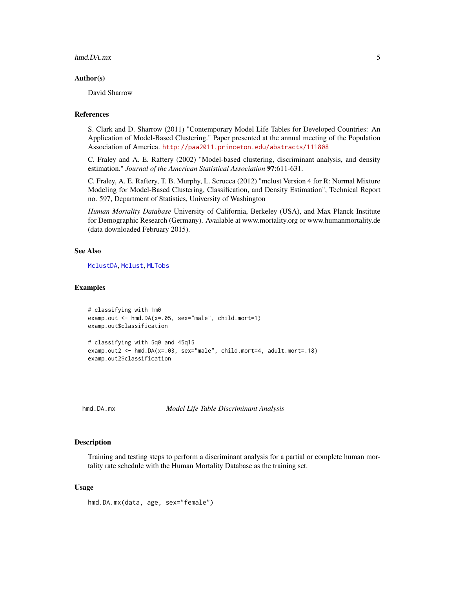#### <span id="page-4-0"></span>hmd.DA.mx 5

#### Author(s)

David Sharrow

## References

S. Clark and D. Sharrow (2011) "Contemporary Model Life Tables for Developed Countries: An Application of Model-Based Clustering." Paper presented at the annual meeting of the Population Association of America. <http://paa2011.princeton.edu/abstracts/111808>

C. Fraley and A. E. Raftery (2002) "Model-based clustering, discriminant analysis, and density estimation." *Journal of the American Statistical Association* 97:611-631.

C. Fraley, A. E. Raftery, T. B. Murphy, L. Scrucca (2012) "mclust Version 4 for R: Normal Mixture Modeling for Model-Based Clustering, Classification, and Density Estimation", Technical Report no. 597, Department of Statistics, University of Washington

*Human Mortality Database* University of California, Berkeley (USA), and Max Planck Institute for Demographic Research (Germany). Available at www.mortality.org or www.humanmortality.de (data downloaded February 2015).

#### See Also

[MclustDA](#page-0-0), [Mclust](#page-0-0), [MLTobs](#page-7-1)

#### Examples

```
# classifying with 1m0
examp.out <- hmd.DA(x=.05, sex="male", child.mort=1)
examp.out$classification
# classifying with 5q0 and 45q15
examp.out2 <- hmd.DA(x=.03, sex="male", child.mort=4, adult.mort=.18)
examp.out2$classification
```
<span id="page-4-1"></span>hmd.DA.mx *Model Life Table Discriminant Analysis*

## Description

Training and testing steps to perform a discriminant analysis for a partial or complete human mortality rate schedule with the Human Mortality Database as the training set.

#### Usage

hmd.DA.mx(data, age, sex="female")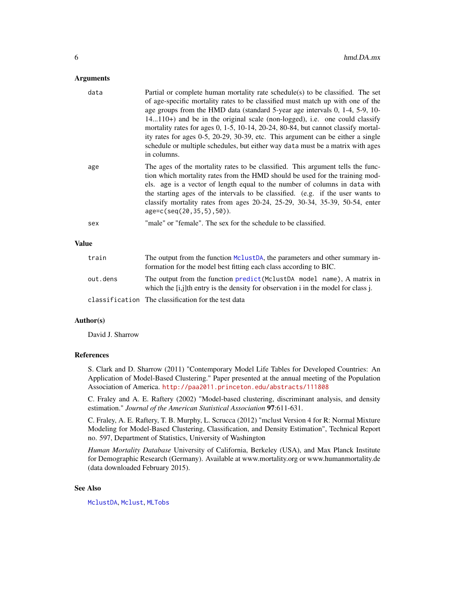## <span id="page-5-0"></span>**Arguments**

| data         | Partial or complete human mortality rate schedule(s) to be classified. The set<br>of age-specific mortality rates to be classified must match up with one of the<br>age groups from the HMD data (standard 5-year age intervals 0, 1-4, 5-9, 10-<br>$14110+$ and be in the original scale (non-logged), i.e. one could classify<br>mortality rates for ages 0, 1-5, 10-14, 20-24, 80-84, but cannot classify mortal-<br>ity rates for ages 0-5, 20-29, 30-39, etc. This argument can be either a single<br>schedule or multiple schedules, but either way data must be a matrix with ages<br>in columns. |
|--------------|----------------------------------------------------------------------------------------------------------------------------------------------------------------------------------------------------------------------------------------------------------------------------------------------------------------------------------------------------------------------------------------------------------------------------------------------------------------------------------------------------------------------------------------------------------------------------------------------------------|
| age          | The ages of the mortality rates to be classified. This argument tells the func-<br>tion which mortality rates from the HMD should be used for the training mod-<br>els. age is a vector of length equal to the number of columns in data with<br>the starting ages of the intervals to be classified. (e.g. if the user wants to<br>classify mortality rates from ages 20-24, 25-29, 30-34, 35-39, 50-54, enter<br>$age=c(seq(20, 35, 5), 50)$ .                                                                                                                                                         |
| sex          | "male" or "female". The sex for the schedule to be classified.                                                                                                                                                                                                                                                                                                                                                                                                                                                                                                                                           |
| <b>Value</b> |                                                                                                                                                                                                                                                                                                                                                                                                                                                                                                                                                                                                          |
| train        | The output from the function $Mc(1)$ the parameters and other summary in                                                                                                                                                                                                                                                                                                                                                                                                                                                                                                                                 |

## train The output from the function [MclustDA](#page-0-0), the parameters and other summary information for the model best fitting each class according to BIC. out.dens The output from the function [predict\(](#page-0-0)MclustDA model name), A matrix in which the [i,j]th entry is the density for observation i in the model for class j. classification The classification for the test data

## Author(s)

David J. Sharrow

#### References

S. Clark and D. Sharrow (2011) "Contemporary Model Life Tables for Developed Countries: An Application of Model-Based Clustering." Paper presented at the annual meeting of the Population Association of America. <http://paa2011.princeton.edu/abstracts/111808>

C. Fraley and A. E. Raftery (2002) "Model-based clustering, discriminant analysis, and density estimation." *Journal of the American Statistical Association* 97:611-631.

C. Fraley, A. E. Raftery, T. B. Murphy, L. Scrucca (2012) "mclust Version 4 for R: Normal Mixture Modeling for Model-Based Clustering, Classification, and Density Estimation", Technical Report no. 597, Department of Statistics, University of Washington

*Human Mortality Database* University of California, Berkeley (USA), and Max Planck Institute for Demographic Research (Germany). Available at www.mortality.org or www.humanmortality.de (data downloaded February 2015).

## See Also

[MclustDA](#page-0-0), [Mclust](#page-0-0), [MLTobs](#page-7-1)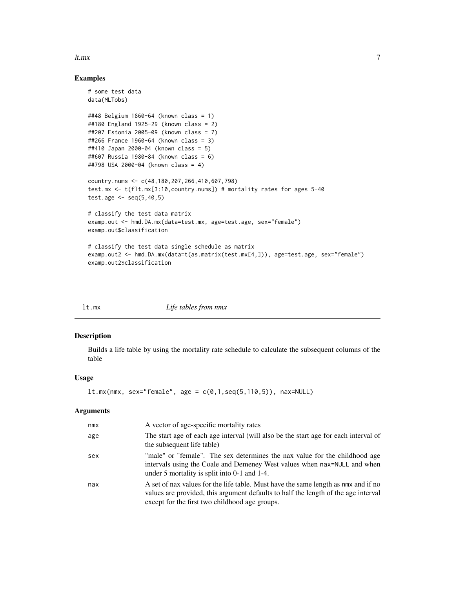#### <span id="page-6-0"></span>lt.mx 7

## Examples

```
# some test data
data(MLTobs)
##48 Belgium 1860-64 (known class = 1)
##180 England 1925-29 (known class = 2)
##207 Estonia 2005-09 (known class = 7)
##266 France 1960-64 (known class = 3)
##410 Japan 2000-04 (known class = 5)
##607 Russia 1980-84 (known class = 6)
##798 USA 2000-04 (known class = 4)
country.nums <- c(48,180,207,266,410,607,798)
test.mx <- t(flt.mx[3:10,country.nums]) # mortality rates for ages 5-40
test.age <- seq(5,40,5)
# classify the test data matrix
examp.out <- hmd.DA.mx(data=test.mx, age=test.age, sex="female")
examp.out$classification
# classify the test data single schedule as matrix
examp.out2 <- hmd.DA.mx(data=t(as.matrix(test.mx[4,])), age=test.age, sex="female")
examp.out2$classification
```
<span id="page-6-1"></span>

| × | <br>i |
|---|-------|
|   |       |

x *Life tables from nmx* 

## Description

Builds a life table by using the mortality rate schedule to calculate the subsequent columns of the table

#### Usage

```
lt.mx(mmx, sex="female", age = c(0,1,seq(5,110,5)), max=NULL)
```
#### Arguments

| nmx | A vector of age-specific mortality rates                                                                                                                                                                                   |
|-----|----------------------------------------------------------------------------------------------------------------------------------------------------------------------------------------------------------------------------|
| age | The start age of each age interval (will also be the start age for each interval of<br>the subsequent life table)                                                                                                          |
| sex | "male" or "female". The sex determines the nax value for the childhood age<br>intervals using the Coale and Demeney West values when nax=NULL and when<br>under 5 mortality is split into 0-1 and 1-4.                     |
| nax | A set of nax values for the life table. Must have the same length as nmx and if no<br>values are provided, this argument defaults to half the length of the age interval<br>except for the first two childhood age groups. |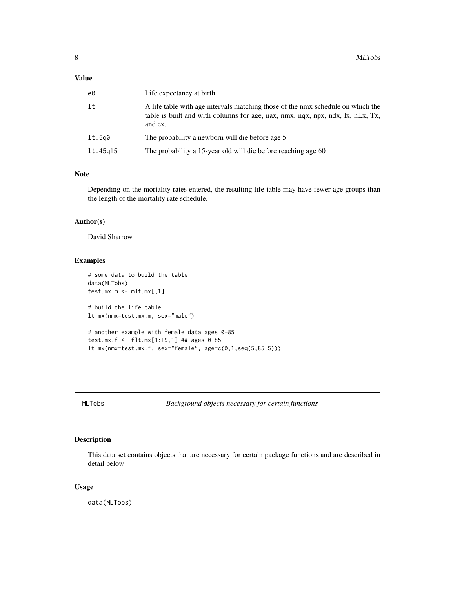## <span id="page-7-0"></span>Value

| e0       | Life expectancy at birth                                                                                                                                                     |
|----------|------------------------------------------------------------------------------------------------------------------------------------------------------------------------------|
| lt       | A life table with age intervals matching those of the nmx schedule on which the<br>table is built and with columns for age, nax, nmx, nqx, npx, ndx, lx, nLx, Tx,<br>and ex. |
| lt.5q0   | The probability a newborn will die before age 5                                                                                                                              |
| lt.45g15 | The probability a 15-year old will die before reaching age 60                                                                                                                |

## Note

Depending on the mortality rates entered, the resulting life table may have fewer age groups than the length of the mortality rate schedule.

## Author(s)

David Sharrow

## Examples

```
# some data to build the table
data(MLTobs)
test.mx.m \leq - mlt.mx[,1]
# build the life table
lt.mx(nmx=test.mx.m, sex="male")
# another example with female data ages 0-85
test.mx.f <- flt.mx[1:19,1] ## ages 0-85
lt.mx(mmx=test.mx.f, sex="female", age=c(0,1,seq(5,85,5)))
```
<span id="page-7-1"></span>

MLTobs *Background objects necessary for certain functions*

## Description

This data set contains objects that are necessary for certain package functions and are described in detail below

## Usage

data(MLTobs)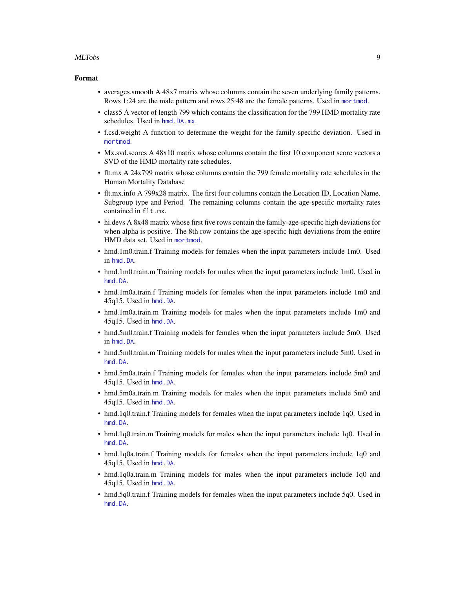#### <span id="page-8-0"></span>MLTobs 9

#### Format

- averages.smooth A 48x7 matrix whose columns contain the seven underlying family patterns. Rows 1:24 are the male pattern and rows 25:48 are the female patterns. Used in [mortmod](#page-12-1).
- class5 A vector of length 799 which contains the classification for the 799 HMD mortality rate schedules. Used in [hmd.DA.mx](#page-4-1).
- f.csd.weight A function to determine the weight for the family-specific deviation. Used in [mortmod](#page-12-1).
- Mx.svd.scores A 48x10 matrix whose columns contain the first 10 component score vectors a SVD of the HMD mortality rate schedules.
- flt.mx A 24x799 matrix whose columns contain the 799 female mortality rate schedules in the Human Mortality Database
- flt.mx.info A 799x28 matrix. The first four columns contain the Location ID, Location Name, Subgroup type and Period. The remaining columns contain the age-specific mortality rates contained in flt.mx.
- hi.devs A 8x48 matrix whose first five rows contain the family-age-specific high deviations for when alpha is positive. The 8th row contains the age-specific high deviations from the entire HMD data set. Used in [mortmod](#page-12-1).
- hmd.1m0.train.f Training models for females when the input parameters include 1m0. Used in [hmd.DA](#page-3-1).
- hmd.1m0.train.m Training models for males when the input parameters include 1m0. Used in [hmd.DA](#page-3-1).
- hmd.1m0a.train.f Training models for females when the input parameters include 1m0 and 45q15. Used in [hmd.DA](#page-3-1).
- hmd.1m0a.train.m Training models for males when the input parameters include 1m0 and 45q15. Used in [hmd.DA](#page-3-1).
- hmd.5m0.train.f Training models for females when the input parameters include 5m0. Used in [hmd.DA](#page-3-1).
- hmd.5m0.train.m Training models for males when the input parameters include 5m0. Used in [hmd.DA](#page-3-1).
- hmd.5m0a.train.f Training models for females when the input parameters include 5m0 and 45q15. Used in [hmd.DA](#page-3-1).
- hmd.5m0a.train.m Training models for males when the input parameters include 5m0 and 45q15. Used in [hmd.DA](#page-3-1).
- hmd.1q0.train.f Training models for females when the input parameters include 1q0. Used in [hmd.DA](#page-3-1).
- hmd.1q0.train.m Training models for males when the input parameters include 1q0. Used in [hmd.DA](#page-3-1).
- hmd.1q0a.train.f Training models for females when the input parameters include 1q0 and 45q15. Used in [hmd.DA](#page-3-1).
- hmd.1q0a.train.m Training models for males when the input parameters include 1q0 and 45q15. Used in [hmd.DA](#page-3-1).
- hmd.5q0.train.f Training models for females when the input parameters include 5q0. Used in [hmd.DA](#page-3-1).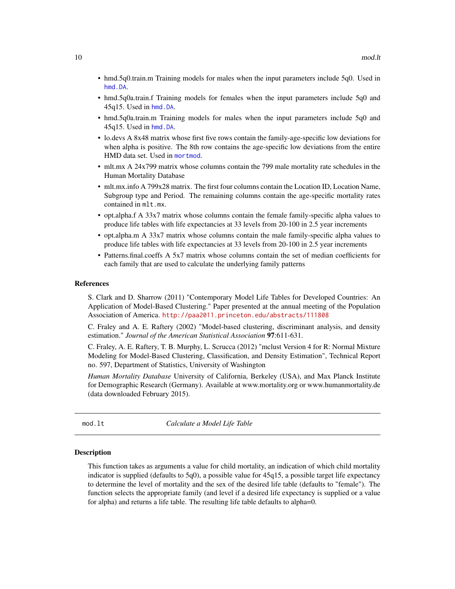- <span id="page-9-0"></span>• hmd.5q0.train.m Training models for males when the input parameters include 5q0. Used in [hmd.DA](#page-3-1).
- hmd.5q0a.train.f Training models for females when the input parameters include 5q0 and 45q15. Used in [hmd.DA](#page-3-1).
- hmd.5q0a.train.m Training models for males when the input parameters include 5q0 and 45q15. Used in [hmd.DA](#page-3-1).
- lo.devs A 8x48 matrix whose first five rows contain the family-age-specific low deviations for when alpha is positive. The 8th row contains the age-specific low deviations from the entire HMD data set. Used in [mortmod](#page-12-1).
- mlt.mx A 24x799 matrix whose columns contain the 799 male mortality rate schedules in the Human Mortality Database
- mlt.mx.info A 799x28 matrix. The first four columns contain the Location ID, Location Name, Subgroup type and Period. The remaining columns contain the age-specific mortality rates contained in mlt.mx.
- opt.alpha.f A 33x7 matrix whose columns contain the female family-specific alpha values to produce life tables with life expectancies at 33 levels from 20-100 in 2.5 year increments
- opt.alpha.m A 33x7 matrix whose columns contain the male family-specific alpha values to produce life tables with life expectancies at 33 levels from 20-100 in 2.5 year increments
- Patterns.final.coeffs A 5x7 matrix whose columns contain the set of median coefficients for each family that are used to calculate the underlying family patterns

#### References

S. Clark and D. Sharrow (2011) "Contemporary Model Life Tables for Developed Countries: An Application of Model-Based Clustering." Paper presented at the annual meeting of the Population Association of America. <http://paa2011.princeton.edu/abstracts/111808>

C. Fraley and A. E. Raftery (2002) "Model-based clustering, discriminant analysis, and density estimation." *Journal of the American Statistical Association* 97:611-631.

C. Fraley, A. E. Raftery, T. B. Murphy, L. Scrucca (2012) "mclust Version 4 for R: Normal Mixture Modeling for Model-Based Clustering, Classification, and Density Estimation", Technical Report no. 597, Department of Statistics, University of Washington

*Human Mortality Database* University of California, Berkeley (USA), and Max Planck Institute for Demographic Research (Germany). Available at www.mortality.org or www.humanmortality.de (data downloaded February 2015).

<span id="page-9-1"></span>

mod.lt *Calculate a Model Life Table*

#### Description

This function takes as arguments a value for child mortality, an indication of which child mortality indicator is supplied (defaults to 5q0), a possible value for 45q15, a possible target life expectancy to determine the level of mortality and the sex of the desired life table (defaults to "female"). The function selects the appropriate family (and level if a desired life expectancy is supplied or a value for alpha) and returns a life table. The resulting life table defaults to alpha=0.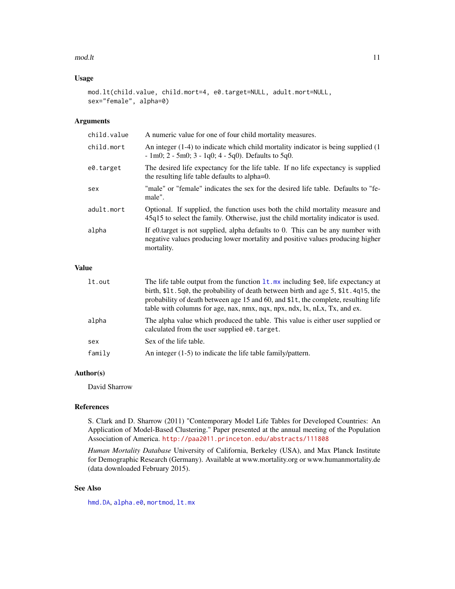#### <span id="page-10-0"></span> $\text{mod}$ . It and  $\text{mod}$ . It also a set of  $\text{mod}$ . It also a set of  $\text{mod}$ . It also a set of  $\text{mod}$ . It also a set of  $\text{mod}$ . It also a set of  $\text{mod}$ . It also a set of  $\text{mod}$ . It also a set of  $\text{mod}$ . It also a set

## Usage

```
mod.lt(child.value, child.mort=4, e0.target=NULL, adult.mort=NULL,
sex="female", alpha=0)
```
## Arguments

| child.value | A numeric value for one of four child mortality measures.                                                                                                                      |
|-------------|--------------------------------------------------------------------------------------------------------------------------------------------------------------------------------|
| child.mort  | An integer $(1-4)$ to indicate which child mortality indicator is being supplied $(1)$<br>$-1m0$ ; 2 $-5m0$ ; 3 $-1q0$ ; 4 $-5q0$ ). Defaults to 5q0.                          |
| e0.target   | The desired life expectancy for the life table. If no life expectancy is supplied<br>the resulting life table defaults to alpha=0.                                             |
| sex         | "male" or "female" indicates the sex for the desired life table. Defaults to "fe-<br>male".                                                                                    |
| adult.mort  | Optional. If supplied, the function uses both the child mortality measure and<br>45q15 to select the family. Otherwise, just the child mortality indicator is used.            |
| alpha       | If e0.target is not supplied, alpha defaults to 0. This can be any number with<br>negative values producing lower mortality and positive values producing higher<br>mortality. |

## Value

| lt.out | The life table output from the function $lt mx$ including $\text{\$e0},$ life expectancy at                                      |
|--------|----------------------------------------------------------------------------------------------------------------------------------|
|        | birth, $$1t.5q0$ , the probability of death between birth and age 5, $$1t.4q15$ , the                                            |
|        | probability of death between age 15 and 60, and \$1t, the complete, resulting life                                               |
|        | table with columns for age, nax, nmx, nqx, npx, ndx, lx, nLx, Tx, and ex.                                                        |
| alpha  | The alpha value which produced the table. This value is either user supplied or<br>calculated from the user supplied e0. target. |
| sex    | Sex of the life table.                                                                                                           |
| family | An integer $(1-5)$ to indicate the life table family/pattern.                                                                    |

## Author(s)

David Sharrow

## References

S. Clark and D. Sharrow (2011) "Contemporary Model Life Tables for Developed Countries: An Application of Model-Based Clustering." Paper presented at the annual meeting of the Population Association of America. <http://paa2011.princeton.edu/abstracts/111808>

*Human Mortality Database* University of California, Berkeley (USA), and Max Planck Institute for Demographic Research (Germany). Available at www.mortality.org or www.humanmortality.de (data downloaded February 2015).

## See Also

[hmd.DA](#page-3-1), [alpha.e0](#page-2-1), [mortmod](#page-12-1), [lt.mx](#page-6-1)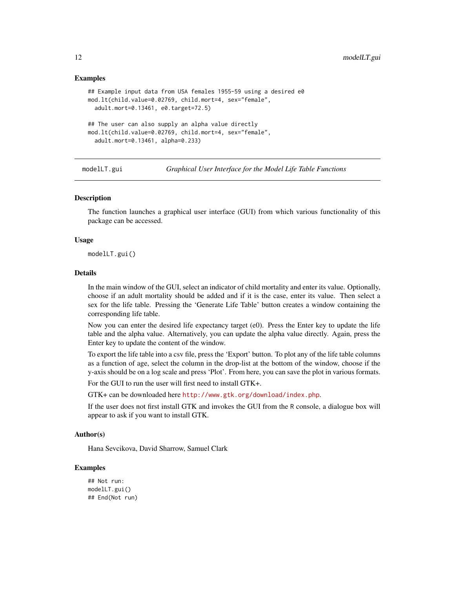#### Examples

```
## Example input data from USA females 1955-59 using a desired e0
mod.lt(child.value=0.02769, child.mort=4, sex="female",
 adult.mort=0.13461, e0.target=72.5)
## The user can also supply an alpha value directly
mod.lt(child.value=0.02769, child.mort=4, sex="female",
 adult.mort=0.13461, alpha=0.233)
```
modelLT.gui *Graphical User Interface for the Model Life Table Functions*

#### **Description**

The function launches a graphical user interface (GUI) from which various functionality of this package can be accessed.

#### Usage

modelLT.gui()

## Details

In the main window of the GUI, select an indicator of child mortality and enter its value. Optionally, choose if an adult mortality should be added and if it is the case, enter its value. Then select a sex for the life table. Pressing the 'Generate Life Table' button creates a window containing the corresponding life table.

Now you can enter the desired life expectancy target (e0). Press the Enter key to update the life table and the alpha value. Alternatively, you can update the alpha value directly. Again, press the Enter key to update the content of the window.

To export the life table into a csv file, press the 'Export' button. To plot any of the life table columns as a function of age, select the column in the drop-list at the bottom of the window, choose if the y-axis should be on a log scale and press 'Plot'. From here, you can save the plot in various formats.

For the GUI to run the user will first need to install GTK+.

GTK+ can be downloaded here <http://www.gtk.org/download/index.php>.

If the user does not first install GTK and invokes the GUI from the R console, a dialogue box will appear to ask if you want to install GTK.

## Author(s)

Hana Sevcikova, David Sharrow, Samuel Clark

#### Examples

```
## Not run:
modelLT.gui()
## End(Not run)
```
<span id="page-11-0"></span>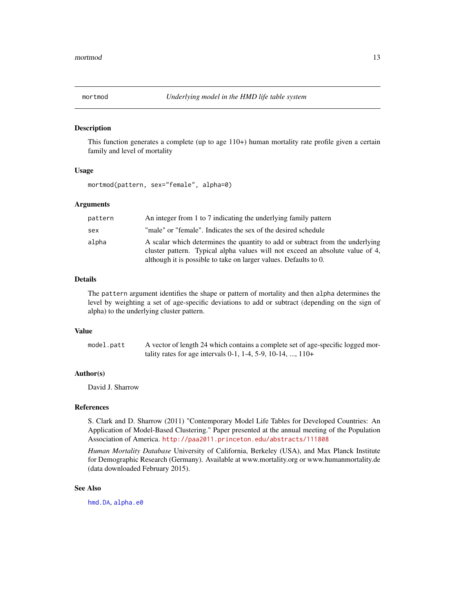<span id="page-12-1"></span><span id="page-12-0"></span>

#### Description

This function generates a complete (up to age 110+) human mortality rate profile given a certain family and level of mortality

#### Usage

mortmod(pattern, sex="female", alpha=0)

## Arguments

| pattern | An integer from 1 to 7 indicating the underlying family pattern                                                                                                                                                                    |
|---------|------------------------------------------------------------------------------------------------------------------------------------------------------------------------------------------------------------------------------------|
| sex     | "male" or "female". Indicates the sex of the desired schedule                                                                                                                                                                      |
| alpha   | A scalar which determines the quantity to add or subtract from the underlying<br>cluster pattern. Typical alpha values will not exceed an absolute value of 4,<br>although it is possible to take on larger values. Defaults to 0. |

## Details

The pattern argument identifies the shape or pattern of mortality and then alpha determines the level by weighting a set of age-specific deviations to add or subtract (depending on the sign of alpha) to the underlying cluster pattern.

#### Value

model.patt A vector of length 24 which contains a complete set of age-specific logged mortality rates for age intervals 0-1, 1-4, 5-9, 10-14, ..., 110+

### Author(s)

David J. Sharrow

#### References

S. Clark and D. Sharrow (2011) "Contemporary Model Life Tables for Developed Countries: An Application of Model-Based Clustering." Paper presented at the annual meeting of the Population Association of America. <http://paa2011.princeton.edu/abstracts/111808>

*Human Mortality Database* University of California, Berkeley (USA), and Max Planck Institute for Demographic Research (Germany). Available at www.mortality.org or www.humanmortality.de (data downloaded February 2015).

#### See Also

[hmd.DA](#page-3-1), [alpha.e0](#page-2-1)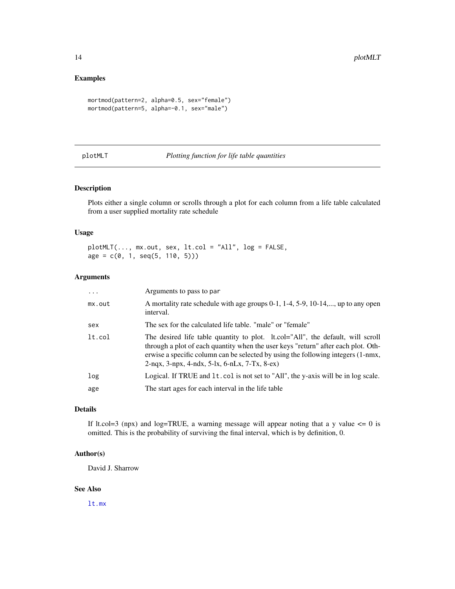## <span id="page-13-0"></span>Examples

```
mortmod(pattern=2, alpha=0.5, sex="female")
mortmod(pattern=5, alpha=-0.1, sex="male")
```
## plotMLT *Plotting function for life table quantities*

## Description

Plots either a single column or scrolls through a plot for each column from a life table calculated from a user supplied mortality rate schedule

## Usage

plotMLT(..., mx.out, sex, lt.col = "All", log = FALSE,  $age = c(0, 1, seq(5, 110, 5)))$ 

#### Arguments

| .      | Arguments to pass to par                                                                                                                                                                                                                                                                                    |
|--------|-------------------------------------------------------------------------------------------------------------------------------------------------------------------------------------------------------------------------------------------------------------------------------------------------------------|
| mx.out | A mortality rate schedule with age groups 0-1, 1-4, 5-9, 10-14,, up to any open<br>interval.                                                                                                                                                                                                                |
| sex    | The sex for the calculated life table. "male" or "female"                                                                                                                                                                                                                                                   |
| lt.col | The desired life table quantity to plot. It col="All", the default, will scroll<br>through a plot of each quantity when the user keys "return" after each plot. Oth-<br>erwise a specific column can be selected by using the following integers (1-nmx,<br>$2-nqx, 3-npx, 4-ndx, 5-lx, 6-nLx, 7-Tx, 8-ex)$ |
| log    | Logical. If TRUE and 1t. col is not set to "All", the y-axis will be in log scale.                                                                                                                                                                                                                          |
| age    | The start ages for each interval in the life table                                                                                                                                                                                                                                                          |

## Details

If lt.col=3 (npx) and log=TRUE, a warning message will appear noting that a y value  $\leq 0$  is omitted. This is the probability of surviving the final interval, which is by definition, 0.

## Author(s)

David J. Sharrow

#### See Also

[lt.mx](#page-6-1)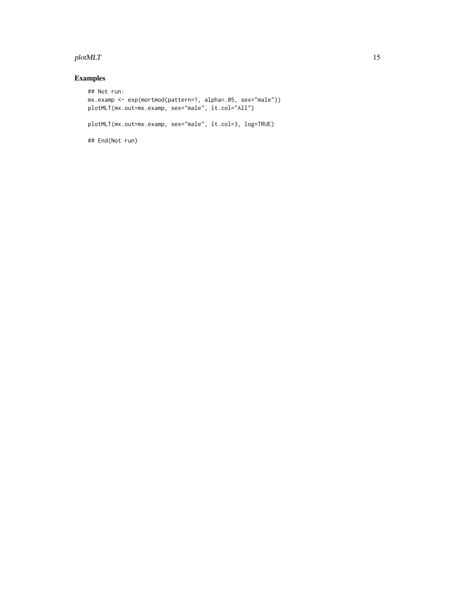#### plotMLT and the state of the state of the state of the state of the state of the state of the state of the state of the state of the state of the state of the state of the state of the state of the state of the state of th

## Examples

```
## Not run:
mx.examp <- exp(mortmod(pattern=1, alpha=.05, sex="male"))
plotMLT(mx.out=mx.examp, sex="male", lt.col="All")
plotMLT(mx.out=mx.examp, sex="male", lt.col=3, log=TRUE)
## End(Not run)
```